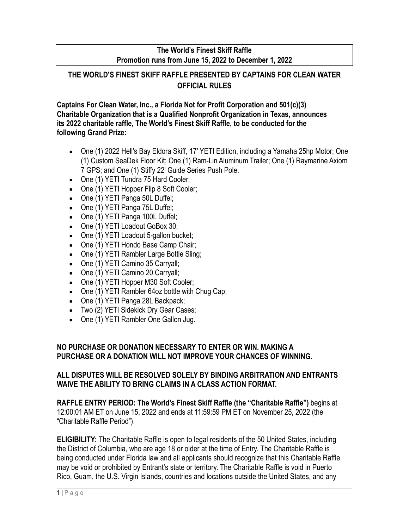## **The World's Finest Skiff Raffle Promotion runs from June 15, 2022 to December 1, 2022**

# **THE WORLD'S FINEST SKIFF RAFFLE PRESENTED BY CAPTAINS FOR CLEAN WATER OFFICIAL RULES**

**Captains For Clean Water, Inc., a Florida Not for Profit Corporation and 501(c)(3) Charitable Organization that is a Qualified Nonprofit Organization in Texas, announces its 2022 charitable raffle, The World's Finest Skiff Raffle, to be conducted for the following Grand Prize:**

- One (1) 2022 Hell's Bay Eldora Skiff, 17' YETI Edition, including a Yamaha 25hp Motor; One (1) Custom SeaDek Floor Kit; One (1) Ram-Lin Aluminum Trailer; One (1) Raymarine Axiom 7 GPS; and One (1) Stiffy 22' Guide Series Push Pole.
- **One (1) YETI Tundra 75 Hard Cooler;**
- One (1) YETI Hopper Flip 8 Soft Cooler;
- One (1) YETI Panga 50L Duffel;
- **One (1) YETI Panga 75L Duffel;**
- One (1) YETI Panga 100L Duffel;
- One (1) YETI Loadout GoBox 30;
- **One (1) YETI Loadout 5-gallon bucket;**
- One (1) YETI Hondo Base Camp Chair;
- One (1) YETI Rambler Large Bottle Sling;
- **One (1) YETI Camino 35 Carryall;**
- One (1) YETI Camino 20 Carryall;
- One (1) YETI Hopper M30 Soft Cooler;
- One (1) YETI Rambler 64oz bottle with Chug Cap;
- One (1) YETI Panga 28L Backpack;
- **Two (2) YETI Sidekick Dry Gear Cases;**
- One (1) YETI Rambler One Gallon Jug.

### **NO PURCHASE OR DONATION NECESSARY TO ENTER OR WIN. MAKING A PURCHASE OR A DONATION WILL NOT IMPROVE YOUR CHANCES OF WINNING.**

### **ALL DISPUTES WILL BE RESOLVED SOLELY BY BINDING ARBITRATION AND ENTRANTS WAIVE THE ABILITY TO BRING CLAIMS IN A CLASS ACTION FORMAT.**

**RAFFLE ENTRY PERIOD: The World's Finest Skiff Raffle (the "Charitable Raffle")** begins at 12:00:01 AM ET on June 15, 2022 and ends at 11:59:59 PM ET on November 25, 2022 (the "Charitable Raffle Period").

**ELIGIBILITY:** The Charitable Raffle is open to legal residents of the 50 United States, including the District of Columbia, who are age 18 or older at the time of Entry. The Charitable Raffle is being conducted under Florida law and all applicants should recognize that this Charitable Raffle may be void or prohibited by Entrant's state or territory. The Charitable Raffle is void in Puerto Rico, Guam, the U.S. Virgin Islands, countries and locations outside the United States, and any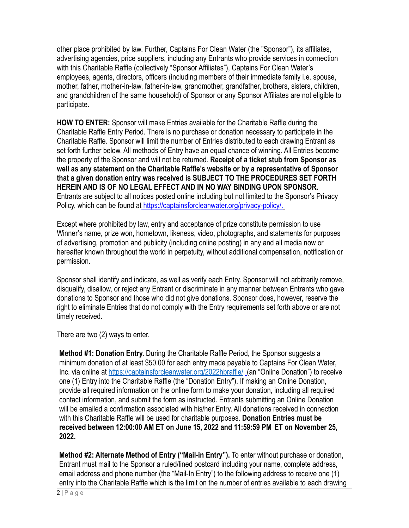other place prohibited by law. Further, Captains For Clean Water (the "Sponsor"), its affiliates, advertising agencies, price suppliers, including any Entrants who provide services in connection with this Charitable Raffle (collectively "Sponsor Affiliates"), Captains For Clean Water's employees, agents, directors, officers (including members of their immediate family i.e. spouse, mother, father, mother-in-law, father-in-law, grandmother, grandfather, brothers, sisters, children, and grandchildren of the same household) of Sponsor or any Sponsor Affiliates are not eligible to participate.

**HOW TO ENTER:** Sponsor will make Entries available for the Charitable Raffle during the Charitable Raffle Entry Period. There is no purchase or donation necessary to participate in the Charitable Raffle. Sponsor will limit the number of Entries distributed to each drawing Entrant as set forth further below. All methods of Entry have an equal chance of winning. All Entries become the property of the Sponsor and will not be returned. **Receipt of a ticket stub from Sponsor as well as any statement on the Charitable Raffle's website or by a representative of Sponsor that a given donation entry was received is SUBJECT TO THE PROCEDURES SET FORTH HEREIN AND IS OF NO LEGAL EFFECT AND IN NO WAY BINDING UPON SPONSOR.** Entrants are subject to all notices posted online including but not limited to the Sponsor's Privacy Policy, which can be found at [https://captainsforcleanwater.org/privacy-policy/.](https://captainsforcleanwater.org/privacy-policy/)

Except where prohibited by law, entry and acceptance of prize constitute permission to use Winner's name, prize won, hometown, likeness, video, photographs, and statements for purposes of advertising, promotion and publicity (including online posting) in any and all media now or hereafter known throughout the world in perpetuity, without additional compensation, notification or permission.

Sponsor shall identify and indicate, as well as verify each Entry. Sponsor will not arbitrarily remove, disqualify, disallow, or reject any Entrant or discriminate in any manner between Entrants who gave donations to Sponsor and those who did not give donations. Sponsor does, however, reserve the right to eliminate Entries that do not comply with the Entry requirements set forth above or are not timely received.

There are two (2) ways to enter.

**Method #1: Donation Entry.** During the Charitable Raffle Period, the Sponsor suggests a minimum donation of at least \$50.00 for each entry made payable to Captains For Clean Water, Inc. via online at <https://captainsforcleanwater.org/2022hbraffle/> (an "Online Donation") to receive one (1) Entry into the Charitable Raffle (the "Donation Entry"). If making an Online Donation, provide all required information on the online form to make your donation, including all required contact information, and submit the form as instructed. Entrants submitting an Online Donation will be emailed a confirmation associated with his/her Entry. All donations received in connection with this Charitable Raffle will be used for charitable purposes. **Donation Entries must be received between 12:00:00 AM ET on June 15, 2022 and 11:59:59 PM ET on November 25, 2022.**

**Method #2: Alternate Method of Entry ("Mail-in Entry").** To enter without purchase or donation, Entrant must mail to the Sponsor a ruled/lined postcard including your name, complete address, email address and phone number (the "Mail-In Entry") to the following address to receive one (1) entry into the Charitable Raffle which is the limit on the number of entries available to each drawing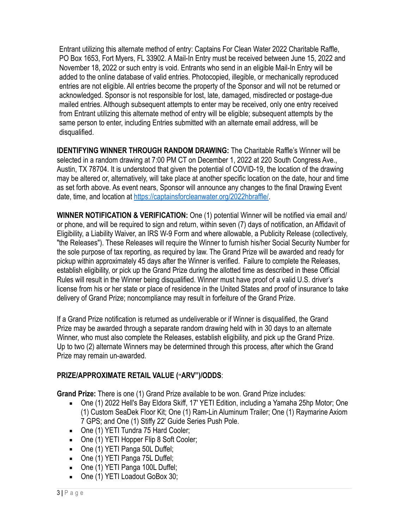Entrant utilizing this alternate method of entry: Captains For Clean Water 2022 Charitable Raffle, PO Box 1653, Fort Myers, FL 33902. A Mail-In Entry must be received between June 15, 2022 and November 18, 2022 or such entry is void. Entrants who send in an eligible Mail-In Entry will be added to the online database of valid entries. Photocopied, illegible, or mechanically reproduced entries are not eligible. All entries become the property of the Sponsor and will not be returned or acknowledged. Sponsor is not responsible for lost, late, damaged, misdirected or postage-due mailed entries. Although subsequent attempts to enter may be received, only one entry received from Entrant utilizing this alternate method of entry will be eligible; subsequent attempts by the same person to enter, including Entries submitted with an alternate email address, will be disqualified.

**IDENTIFYING WINNER THROUGH RANDOM DRAWING:** The Charitable Raffle's Winner will be selected in a random drawing at 7:00 PM CT on December 1, 2022 at 220 South Congress Ave., Austin, TX 78704. It is understood that given the potential of COVID-19, the location of the drawing may be altered or, alternatively, will take place at another specific location on the date, hour and time as set forth above. As event nears, Sponsor will announce any changes to the final Drawing Event date, time, and location at <https://captainsforcleanwater.org/2022hbraffle/>.

**WINNER NOTIFICATION & VERIFICATION:** One (1) potential Winner will be notified via email and/ or phone, and will be required to sign and return, within seven (7) days of notification, an Affidavit of Eligibility, a Liability Waiver, an IRS W-9 Form and where allowable, a Publicity Release (collectively, "the Releases"). These Releases will require the Winner to furnish his/her Social Security Number for the sole purpose of tax reporting, as required by law. The Grand Prize will be awarded and ready for pickup within approximately 45 days after the Winner is verified. Failure to complete the Releases, establish eligibility, or pick up the Grand Prize during the allotted time as described in these Official Rules will result in the Winner being disqualified. Winner must have proof of a valid U.S. driver's license from his or her state or place of residence in the United States and proof of insurance to take delivery of Grand Prize; noncompliance may result in forfeiture of the Grand Prize.

If a Grand Prize notification is returned as undeliverable or if Winner is disqualified, the Grand Prize may be awarded through a separate random drawing held with in 30 days to an alternate Winner, who must also complete the Releases, establish eligibility, and pick up the Grand Prize. Up to two (2) alternate Winners may be determined through this process, after which the Grand Prize may remain un-awarded.

## **PRIZE/APPROXIMATE RETAIL VALUE ("ARV")/ODDS**:

**Grand Prize:** There is one (1) Grand Prize available to be won. Grand Prize includes:

- One (1) 2022 Hell's Bay Eldora Skiff, 17' YETI Edition, including a Yamaha 25hp Motor; One (1) Custom SeaDek Floor Kit; One (1) Ram-Lin Aluminum Trailer; One (1) Raymarine Axiom 7 GPS; and One (1) Stiffy 22' Guide Series Push Pole.
- **One (1) YETI Tundra 75 Hard Cooler;**
- **One (1) YETI Hopper Flip 8 Soft Cooler;**
- One (1) YETI Panga 50L Duffel;
- One (1) YETI Panga 75L Duffel;
- One (1) YETI Panga 100L Duffel;
- One (1) YETI Loadout GoBox 30;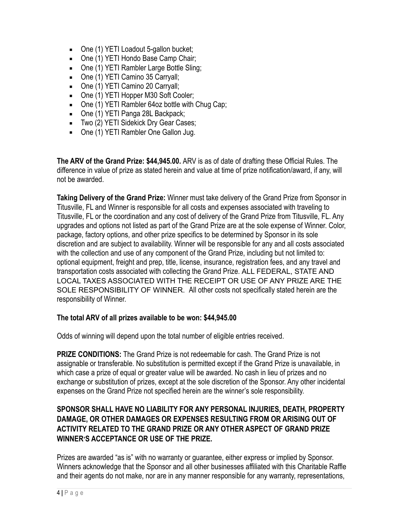- One (1) YETI Loadout 5-gallon bucket;
- One (1) YETI Hondo Base Camp Chair;
- One (1) YETI Rambler Large Bottle Sling;
- **One (1) YETI Camino 35 Carryall;**
- One (1) YETI Camino 20 Carryall;
- One (1) YETI Hopper M30 Soft Cooler;
- One (1) YETI Rambler 64oz bottle with Chug Cap;
- One (1) YETI Panga 28L Backpack;
- **Two (2) YETI Sidekick Dry Gear Cases;**
- One (1) YETI Rambler One Gallon Jug.

**The ARV of the Grand Prize: \$44,945.00.** ARV is as of date of drafting these Official Rules. The difference in value of prize as stated herein and value at time of prize notification/award, if any, will not be awarded.

**Taking Delivery of the Grand Prize:** Winner must take delivery of the Grand Prize from Sponsor in Titusville, FL and Winner is responsible for all costs and expenses associated with traveling to Titusville, FL or the coordination and any cost of delivery of the Grand Prize from Titusville, FL. Any upgrades and options not listed as part of the Grand Prize are at the sole expense of Winner. Color, package, factory options, and other prize specifics to be determined by Sponsor in its sole discretion and are subject to availability. Winner will be responsible for any and all costs associated with the collection and use of any component of the Grand Prize, including but not limited to: optional equipment, freight and prep, title, license, insurance, registration fees, and any travel and transportation costs associated with collecting the Grand Prize. ALL FEDERAL, STATE AND LOCAL TAXES ASSOCIATED WITH THE RECEIPT OR USE OF ANY PRIZE ARE THE SOLE RESPONSIBILITY OF WINNER. All other costs not specifically stated herein are the responsibility of Winner.

#### **The total ARV of all prizes available to be won: \$44,945.00**

Odds of winning will depend upon the total number of eligible entries received.

**PRIZE CONDITIONS:** The Grand Prize is not redeemable for cash. The Grand Prize is not assignable or transferable. No substitution is permitted except if the Grand Prize is unavailable, in which case a prize of equal or greater value will be awarded. No cash in lieu of prizes and no exchange or substitution of prizes, except at the sole discretion of the Sponsor. Any other incidental expenses on the Grand Prize not specified herein are the winner's sole responsibility.

### **SPONSOR SHALL HAVE NO LIABILITY FOR ANY PERSONAL INJURIES, DEATH, PROPERTY DAMAGE, OR OTHER DAMAGES OR EXPENSES RESULTING FROM OR ARISING OUT OF ACTIVITY RELATED TO THE GRAND PRIZE OR ANY OTHER ASPECT OF GRAND PRIZE WINNER'S ACCEPTANCE OR USE OF THE PRIZE.**

Prizes are awarded "as is" with no warranty or guarantee, either express or implied by Sponsor. Winners acknowledge that the Sponsor and all other businesses affiliated with this Charitable Raffle and their agents do not make, nor are in any manner responsible for any warranty, representations,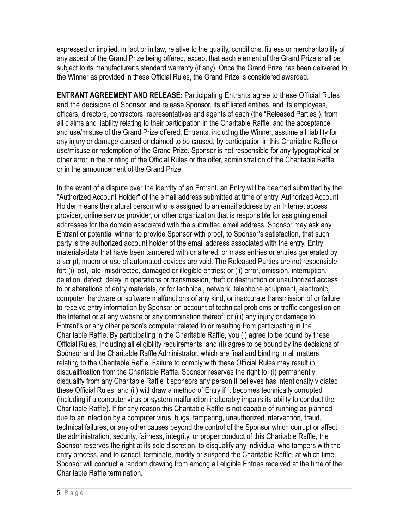expressed or implied, in fact or in law, relative to the quality, conditions, fitness or merchantability of any aspect of the Grand Prize being offered, except that each element of the Grand Prize shall be subject to its manufacturer's standard warranty (if any). Once the Grand Prize has been delivered to the Winner as provided in these Official Rules, the Grand Prize is considered awarded.

**ENTRANT AGREEMENT AND RELEASE:** Participating Entrants agree to these Official Rules and the decisions of Sponsor, and release Sponsor, its affiliated entities, and its employees, officers, directors, contractors, representatives and agents of each (the "Released Parties"), from all claims and liability relating to their participation in the Charitable Raffle, and the acceptance and use/misuse of the Grand Prize offered. Entrants, including the Winner, assume all liability for any injury or damage caused or claimed to be caused, by participation in this Charitable Raffle or use/misuse or redemption of the Grand Prize. Sponsor is not responsible for any typographical or other error in the printing of the Official Rules or the offer, administration of the Charitable Raffle or in the announcement of the Grand Prize.

In the event of a dispute over the identity of an Entrant, an Entry will be deemed submitted by the "Authorized Account Holder" of the email address submitted at time of entry. Authorized Account Holder means the natural person who is assigned to an email address by an Internet access provider, online service provider, or other organization that is responsible for assigning email addresses for the domain associated with the submitted email address. Sponsor may ask any Entrant or potential winner to provide Sponsor with proof, to Sponsor's satisfaction, that such party is the authorized account holder of the email address associated with the entry. Entry materials/data that have been tampered with or altered, or mass entries or entries generated by a script, macro or use of automated devices are void. The Released Parties are not responsible for: (i) lost, late, misdirected, damaged or illegible entries; or (ii) error, omission, interruption, deletion, defect, delay in operations or transmission, theft or destruction or unauthorized access to or alterations of entry materials, or for technical, network, telephone equipment, electronic, computer, hardware or software malfunctions of any kind, or inaccurate transmission of or failure to receive entry information by Sponsor on account of technical problems or traffic congestion on the Internet or at any website or any combination thereof; or (iii) any injury or damage to Entrant's or any other person's computer related to or resulting from participating in the Charitable Raffle. By participating in the Charitable Raffle, you (i) agree to be bound by these Official Rules, including all eligibility requirements, and (ii) agree to be bound by the decisions of Sponsor and the Charitable Raffle Administrator, which are final and binding in all matters relating to the Charitable Raffle. Failure to comply with these Official Rules may result in disqualification from the Charitable Raffle. Sponsor reserves the right to: (i) permanently disqualify from any Charitable Raffle it sponsors any person it believes has intentionally violated these Official Rules; and (ii) withdraw a method of Entry if it becomes technically corrupted (including if a computer virus or system malfunction inalterably impairs its ability to conduct the Charitable Raffle). If for any reason this Charitable Raffle is not capable of running as planned due to an infection by a computer virus, bugs, tampering, unauthorized intervention, fraud, technical failures, or any other causes beyond the control of the Sponsor which corrupt or affect the administration, security, fairness, integrity, or proper conduct of this Charitable Raffle, the Sponsor reserves the right at its sole discretion, to disqualify any individual who tampers with the entry process, and to cancel, terminate, modify or suspend the Charitable Raffle, at which time, Sponsor will conduct a random drawing from among all eligible Entries received at the time of the Charitable Raffle termination.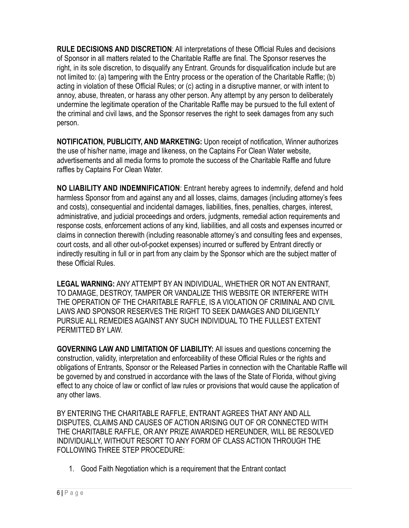**RULE DECISIONS AND DISCRETION**: All interpretations of these Official Rules and decisions of Sponsor in all matters related to the Charitable Raffle are final. The Sponsor reserves the right, in its sole discretion, to disqualify any Entrant. Grounds for disqualification include but are not limited to: (a) tampering with the Entry process or the operation of the Charitable Raffle; (b) acting in violation of these Official Rules; or (c) acting in a disruptive manner, or with intent to annoy, abuse, threaten, or harass any other person. Any attempt by any person to deliberately undermine the legitimate operation of the Charitable Raffle may be pursued to the full extent of the criminal and civil laws, and the Sponsor reserves the right to seek damages from any such person.

**NOTIFICATION, PUBLICITY, AND MARKETING:** Upon receipt of notification, Winner authorizes the use of his/her name, image and likeness, on the Captains For Clean Water website, advertisements and all media forms to promote the success of the Charitable Raffle and future raffles by Captains For Clean Water.

**NO LIABILITY AND INDEMNIFICATION**: Entrant hereby agrees to indemnify, defend and hold harmless Sponsor from and against any and all losses, claims, damages (including attorney's fees and costs), consequential and incidental damages, liabilities, fines, penalties, charges, interest, administrative, and judicial proceedings and orders, judgments, remedial action requirements and response costs, enforcement actions of any kind, liabilities, and all costs and expenses incurred or claims in connection therewith (including reasonable attorney's and consulting fees and expenses, court costs, and all other out-of-pocket expenses) incurred or suffered by Entrant directly or indirectly resulting in full or in part from any claim by the Sponsor which are the subject matter of these Official Rules.

**LEGAL WARNING:** ANY ATTEMPT BY AN INDIVIDUAL, WHETHER OR NOT AN ENTRANT, TO DAMAGE, DESTROY, TAMPER OR VANDALIZE THIS WEBSITE OR INTERFERE WITH THE OPERATION OF THE CHARITABLE RAFFLE, IS A VIOLATION OF CRIMINAL AND CIVIL LAWS AND SPONSOR RESERVES THE RIGHT TO SEEK DAMAGES AND DILIGENTLY PURSUE ALL REMEDIES AGAINST ANY SUCH INDIVIDUAL TO THE FULLEST EXTENT PERMITTED BY LAW.

**GOVERNING LAW AND LIMITATION OF LIABILITY:** All issues and questions concerning the construction, validity, interpretation and enforceability of these Official Rules or the rights and obligations of Entrants, Sponsor or the Released Parties in connection with the Charitable Raffle will be governed by and construed in accordance with the laws of the State of Florida, without giving effect to any choice of law or conflict of law rules or provisions that would cause the application of any other laws.

BY ENTERING THE CHARITABLE RAFFLE, ENTRANT AGREES THAT ANY AND ALL DISPUTES, CLAIMS AND CAUSES OF ACTION ARISING OUT OF OR CONNECTED WITH THE CHARITABLE RAFFLE, OR ANY PRIZE AWARDED HEREUNDER, WILL BE RESOLVED INDIVIDUALLY, WITHOUT RESORT TO ANY FORM OF CLASS ACTION THROUGH THE FOLLOWING THREE STEP PROCEDURE:

1. Good Faith Negotiation which is a requirement that the Entrant contact